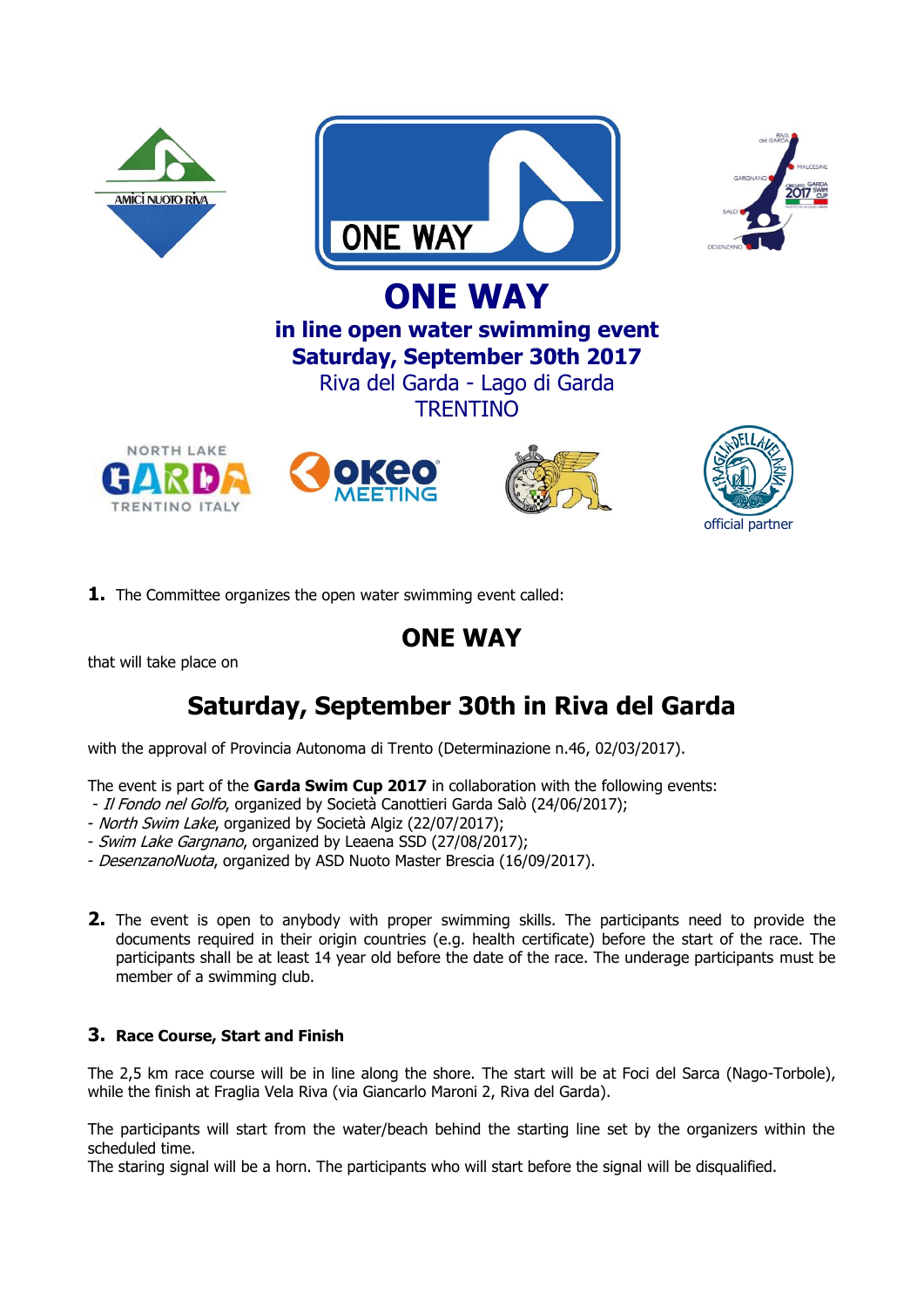

**1.** The Committee organizes the open water swimming event called:

## **ONE WAY**

that will take place on

# **Saturday, September 30th in Riva del Garda**

with the approval of Provincia Autonoma di Trento (Determinazione n.46, 02/03/2017).

The event is part of the **Garda Swim Cup 2017** in collaboration with the following events:

- Il Fondo nel Golfo, organized by Società Canottieri Garda Salò (24/06/2017);
- North Swim Lake, organized by Società Algiz (22/07/2017);
- Swim Lake Gargnano, organized by Leaena SSD (27/08/2017);
- DesenzanoNuota, organized by ASD Nuoto Master Brescia (16/09/2017).
- **2.** The event is open to anybody with proper swimming skills. The participants need to provide the documents required in their origin countries (e.g. health certificate) before the start of the race. The participants shall be at least 14 year old before the date of the race. The underage participants must be member of a swimming club.

## **3. Race Course, Start and Finish**

The 2,5 km race course will be in line along the shore. The start will be at Foci del Sarca (Nago-Torbole), while the finish at Fraglia Vela Riva (via Giancarlo Maroni 2, Riva del Garda).

The participants will start from the water/beach behind the starting line set by the organizers within the scheduled time.

The staring signal will be a horn. The participants who will start before the signal will be disqualified.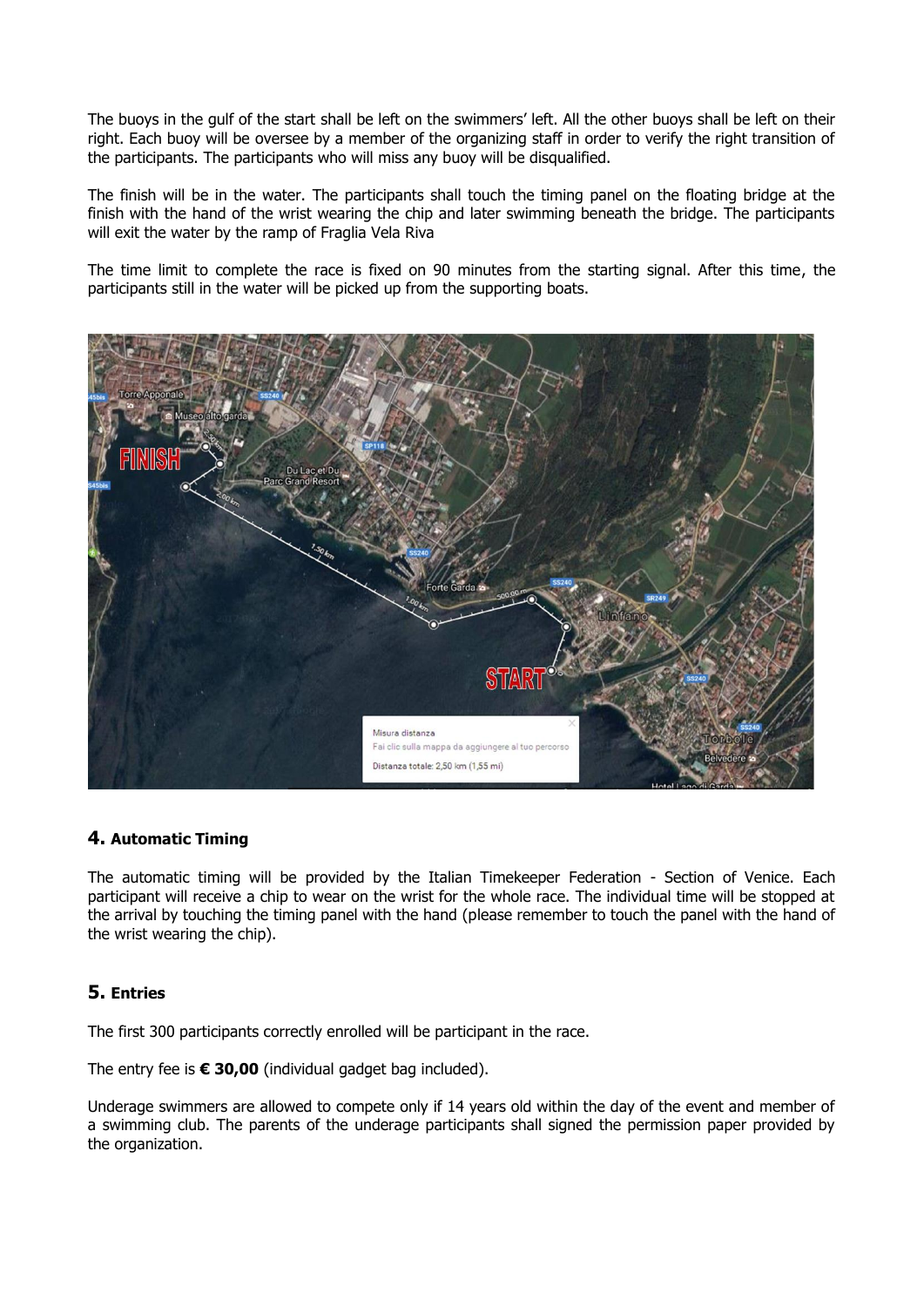The buoys in the gulf of the start shall be left on the swimmers' left. All the other buoys shall be left on their right. Each buoy will be oversee by a member of the organizing staff in order to verify the right transition of the participants. The participants who will miss any buoy will be disqualified.

The finish will be in the water. The participants shall touch the timing panel on the floating bridge at the finish with the hand of the wrist wearing the chip and later swimming beneath the bridge. The participants will exit the water by the ramp of Fraglia Vela Riva

The time limit to complete the race is fixed on 90 minutes from the starting signal. After this time, the participants still in the water will be picked up from the supporting boats.



## **4. Automatic Timing**

The automatic timing will be provided by the Italian Timekeeper Federation - Section of Venice. Each participant will receive a chip to wear on the wrist for the whole race. The individual time will be stopped at the arrival by touching the timing panel with the hand (please remember to touch the panel with the hand of the wrist wearing the chip).

## **5. Entries**

The first 300 participants correctly enrolled will be participant in the race.

The entry fee is **€ 30,00** (individual gadget bag included).

Underage swimmers are allowed to compete only if 14 years old within the day of the event and member of a swimming club. The parents of the underage participants shall signed the permission paper provided by the organization.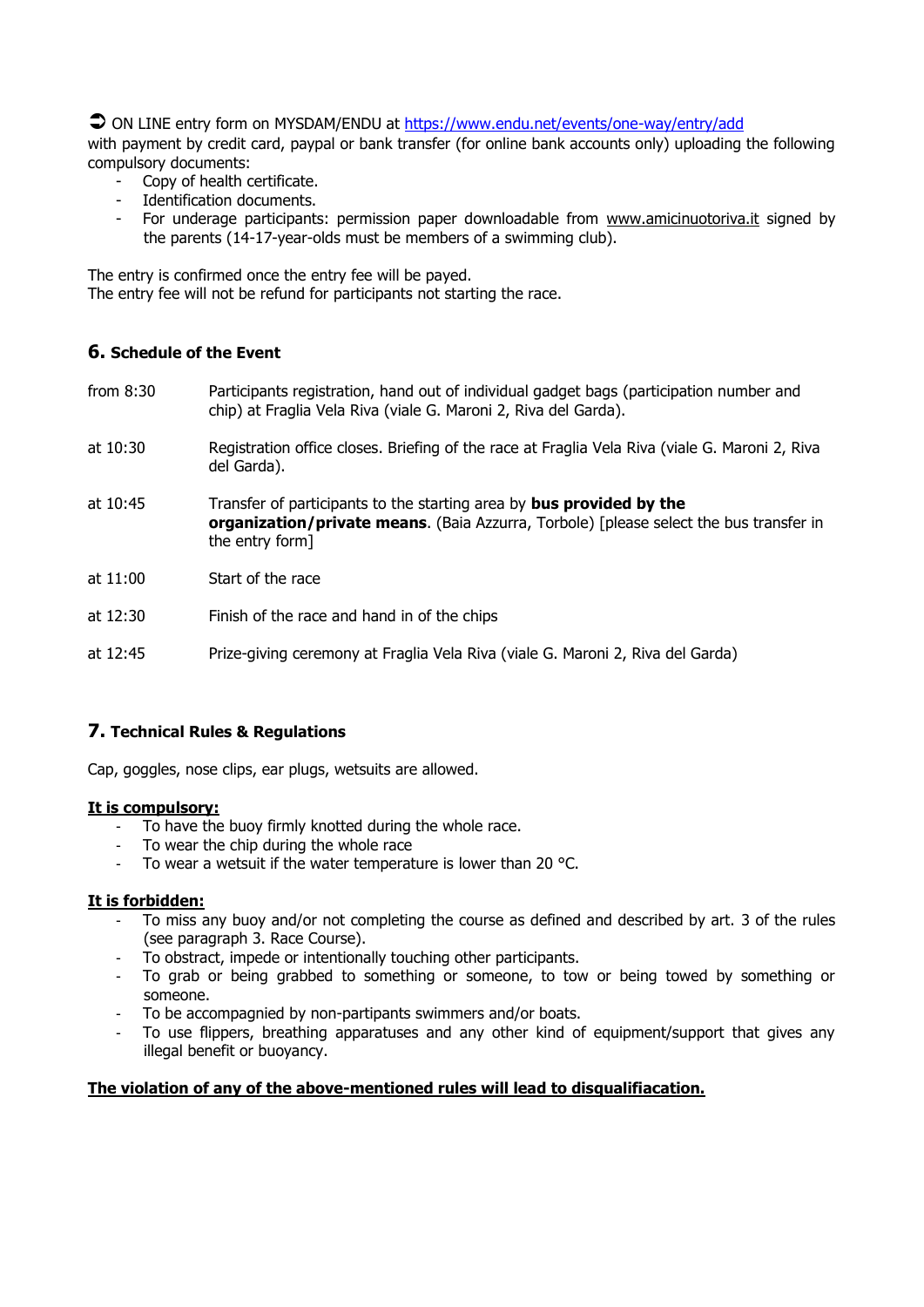● ON LINE entry form on MYSDAM/ENDU at<https://www.endu.net/events/one-way/entry/add>

with payment by credit card, paypal or bank transfer (for online bank accounts only) uploading the following compulsory documents:

- Copy of health certificate.
- Identification documents.
- For underage participants: permission paper downloadable from [www.amicinuotoriva.it](http://www.amicinuotoriva.it/) signed by the parents (14-17-year-olds must be members of a swimming club).

The entry is confirmed once the entry fee will be payed. The entry fee will not be refund for participants not starting the race.

## **6. Schedule of the Event**

- from 8:30 Participants registration, hand out of individual gadget bags (participation number and chip) at Fraglia Vela Riva (viale G. Maroni 2, Riva del Garda).
- at 10:30 Registration office closes. Briefing of the race at Fraglia Vela Riva (viale G. Maroni 2, Riva del Garda).
- at 10:45 Transfer of participants to the starting area by **bus provided by the organization/private means**. (Baia Azzurra, Torbole) [please select the bus transfer in the entry form]
- at 11:00 Start of the race
- at 12:30 Finish of the race and hand in of the chips

at 12:45 Prize-giving ceremony at Fraglia Vela Riva (viale G. Maroni 2, Riva del Garda)

#### **7. Technical Rules & Regulations**

Cap, goggles, nose clips, ear plugs, wetsuits are allowed.

#### **It is compulsory:**

- To have the buoy firmly knotted during the whole race.
- To wear the chip during the whole race
- To wear a wetsuit if the water temperature is lower than 20 °C.

#### **It is forbidden:**

- To miss any buoy and/or not completing the course as defined and described by art. 3 of the rules (see paragraph 3. Race Course).
- To obstract, impede or intentionally touching other participants.
- To grab or being grabbed to something or someone, to tow or being towed by something or someone.
- To be accompagnied by non-partipants swimmers and/or boats.
- To use flippers, breathing apparatuses and any other kind of equipment/support that gives any illegal benefit or buoyancy.

#### **The violation of any of the above-mentioned rules will lead to disqualifiacation.**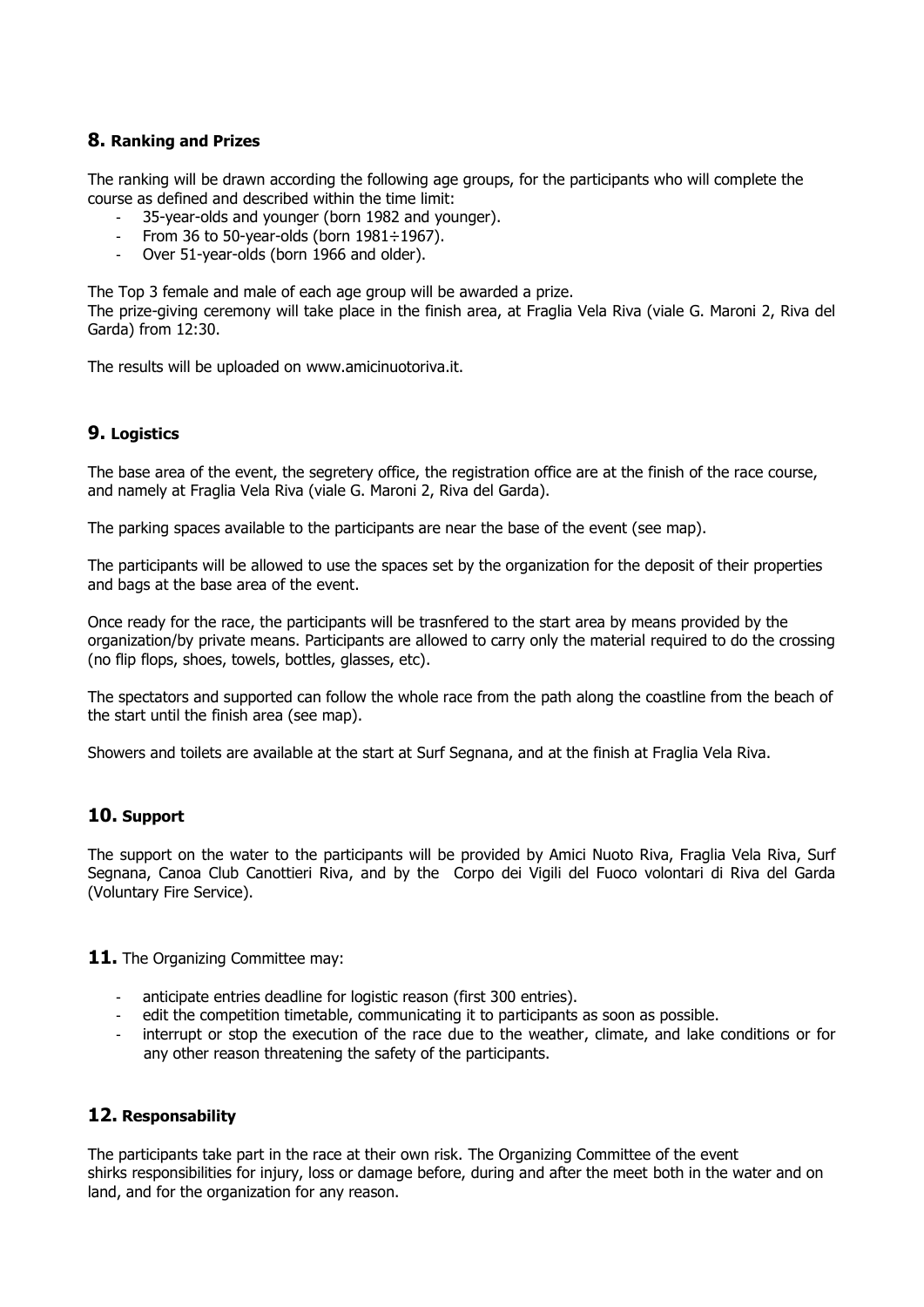## **8. Ranking and Prizes**

The ranking will be drawn according the following age groups, for the participants who will complete the course as defined and described within the time limit:

- 35-year-olds and younger (born 1982 and younger).
- From 36 to 50-year-olds (born  $1981 \div 1967$ ).
- Over 51-year-olds (born 1966 and older).

The Top 3 female and male of each age group will be awarded a prize.

The prize-giving ceremony will take place in the finish area, at Fraglia Vela Riva (viale G. Maroni 2, Riva del Garda) from 12:30.

The results will be uploaded on www.amicinuotoriva.it.

## **9. Logistics**

The base area of the event, the segretery office, the registration office are at the finish of the race course, and namely at Fraglia Vela Riva (viale G. Maroni 2, Riva del Garda).

The parking spaces available to the participants are near the base of the event (see map).

The participants will be allowed to use the spaces set by the organization for the deposit of their properties and bags at the base area of the event.

Once ready for the race, the participants will be trasnfered to the start area by means provided by the organization/by private means. Participants are allowed to carry only the material required to do the crossing (no flip flops, shoes, towels, bottles, glasses, etc).

The spectators and supported can follow the whole race from the path along the coastline from the beach of the start until the finish area (see map).

Showers and toilets are available at the start at Surf Segnana, and at the finish at Fraglia Vela Riva.

## **10. Support**

The support on the water to the participants will be provided by Amici Nuoto Riva, Fraglia Vela Riva, Surf Segnana, Canoa Club Canottieri Riva, and by the Corpo dei Vigili del Fuoco volontari di Riva del Garda (Voluntary Fire Service).

11. The Organizing Committee may:

- anticipate entries deadline for logistic reason (first 300 entries).
- edit the competition timetable, communicating it to participants as soon as possible.
- interrupt or stop the execution of the race due to the weather, climate, and lake conditions or for any other reason threatening the safety of the participants.

## **12. Responsability**

The participants take part in the race at their own risk. The Organizing Committee of the event shirks responsibilities for injury, loss or damage before, during and after the meet both in the water and on land, and for the organization for any reason.